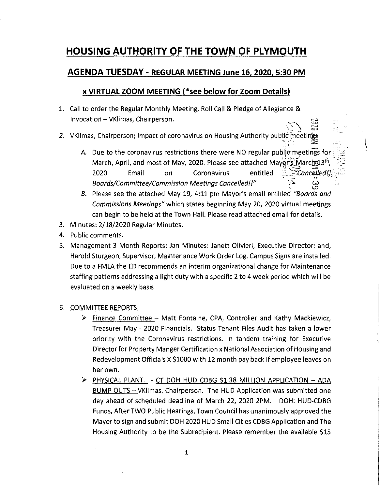## **HOUSING AUTHORITY OF THE TOWN OF PLYMOUTH**

## **AGENDA TUESDAY - REGULAR MEETING June 16, 2020, 5:30 PM**

## **x VIRTUAL ZOOM MEETING (\*see below for Zoom Details)**

- 1. Call to order the Regular Monthly Meeting, Roll Call & Pledge of Allegiance & Invocation - VKlimas, Chairperson.
- 2. VKlimas, Chairperson; Impact of coronavirus on Housing Authority public meetings
	- :  $\frac{1}{\sqrt{2}}$  ,  $\frac{1}{\sqrt{2}}$  ,  $\frac{1}{\sqrt{2}}$  ,  $\frac{1}{\sqrt{2}}$  ,  $\frac{1}{\sqrt{2}}$  ,  $\frac{1}{\sqrt{2}}$  ,  $\frac{1}{\sqrt{2}}$  ,  $\frac{1}{\sqrt{2}}$ March, April, and most of May, 2020. Please see attached Maygr'<u>s M</u>arch 13th, : . . . . . . . . . . . . . . . . . 2020 Email on Coronavirus entitled  $\mathbb{Z}$  *Cancelled!I;* A. Due to the coronavirus restrictions there were NO regular public meetings for 0 *Boards/Committee/Commission Meetings Cancelled!!"* ~-I. ~

 $\mathbb{S}$ 

- *B.*  Please see the attached May 19, 4:11 pm Mayor's email entitled *"Boards and Commissions Meetings"* which states beginning May 20, 2020 virtual meetings can begin to be held at the Town Hall. Please read attached email for details.
- 3. Minutes: 2/18/2020 Regular Minutes.
- 4. Public comments.
- 5. Management 3 Month Reports: Jan Minutes: Janett Olivieri, Executive Director; and, Harold Sturgeon, Supervisor, Maintenance Work Order Log. Campus Signs are installed. Due to a FMLA the ED recommends an interim organizational change for Maintenance staffing patterns addressing a light duty with a specific 2 to 4 week period which will be evaluated on a weekly basis

## 6. COMMITTEE REPORTS:

- *);>*  Finance Committee Matt Fontaine, CPA, Controller and Kathy Mackiewicz, Treasurer May - 2020 Financials. Status Tenant Files Audit has taken a lower priority with the Coronavirus restrictions. In tandem training for Executive Director for Property Manger Certification x National Association of Housing and Redevelopment Officials X \$1000 with 12 month pay back if employee leaves on her own.
- *);>*  PHYSICAL PLANT. CT DOH HUD CDBG \$1.38 MILLION APPLICATION ADA BUMP OUTS- VKlimas, Chairperson. The HUD Application was submitted one day ahead of scheduled deadline of March 22, 2020 2PM. DOH: HUD-CDBG Funds, After TWO Public Hearings, Town Council has unanimously approved the Mayor to sign and submit DOH 2020 HUD Small Cities CDBG Application and The Housing Authority to be the Subrecipient. Please remember the available \$15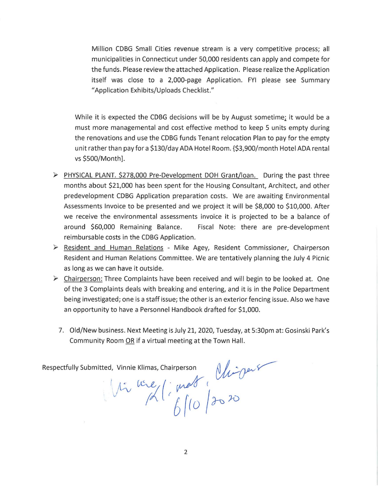Million CDBG Small Cities revenue stream is a very competitive process; all municipalities in Connecticut under 50,000 residents can apply and compete for the funds. Please review the attached Application. Please realize the Application itself was close to a 2,000-page Application. FYI please see Summary "Application Exhibits/Uploads Checklist."

While it is expected the CDBG decisions will be by August sometime; it would be a must more managemental and cost effective method to keep 5 units empty during the renovations and use the CDBG funds Tenant relocation Plan to pay for the empty unit rather than pay for a \$130/day ADA Hotel Room. {\$3,900/month Hotel ADA rental vs \$500/Month].

- ~ PHYSICAL PLANT. \$278,000 Pre-Development DOH Grant/loan. During the past three months about \$21,000 has been spent for the Housing Consultant, Architect, and other predevelopment CDBG Application preparation costs. We are awaiting Environmental Assessments Invoice to be presented and we project it will be \$8,000 to \$10,000. After we receive the environmental assessments invoice it is projected to be a balance of around \$60,000 Remaining Balance. Fiscal Note: there are pre-development reimbursable costs in the CDBG Application.
- <sup>~</sup>Resident and Human Relations Mike Agey, Resident Commissioner, Chairperson Resident and Human Relations Committee. We are tentatively planning the July 4 Picnic as long as we can have it outside.
- $\triangleright$  Chairperson: Three Complaints have been received and will begin to be looked at. One of the 3 Complaints deals with breaking and entering, and it is in the Police Department being investigated; one is a staff issue; the other is an exterior fencing issue. Also we have an opportunity to have a Personnel Handbook drafted for \$1,000.
	- 7. Old/New business. Next Meeting is July 21, 2020, Tuesday, at 5:30pm at: Gosinski Park's Community Room OR if a virtual meeting at the Town Hall.

Respectfully Submitted, Vinnie Klimas, Chairperson  $\sqrt{N-1+\frac{1}{N}}$ 

 $\int_0^{\infty}$  using (: mest)<br>(2020)